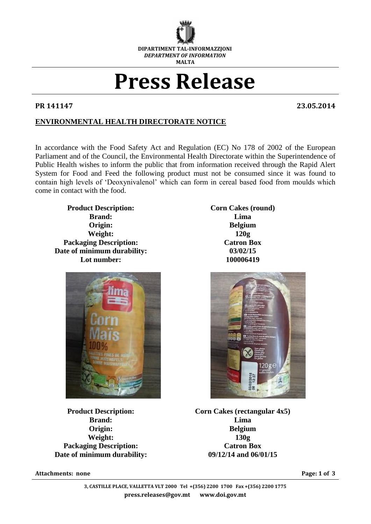

# **Press Release**

**PR 141147 23.05.2014**

## **ENVIRONMENTAL HEALTH DIRECTORATE NOTICE**

In accordance with the Food Safety Act and Regulation (EC) No 178 of 2002 of the European Parliament and of the Council, the Environmental Health Directorate within the Superintendence of Public Health wishes to inform the public that from information received through the Rapid Alert System for Food and Feed the following product must not be consumed since it was found to contain high levels of 'Deoxynivalenol' which can form in cereal based food from moulds which come in contact with the food.

**Product Description: Corn Cakes (round) Brand: Lima Origin: Belgium Weight: 120g Packaging Description: Catron Box Date of minimum durability: 03/02/15 Lot number: 100006419**



**Brand: Lima Weight: 130g Packaging Description: Catron Box Date of minimum durability: 09/12/14 and 06/01/15**

**Attachments: none Page: 1 of 3** 



**Product Description: Corn Cakes (rectangular 4x5) Origin: Belgium**